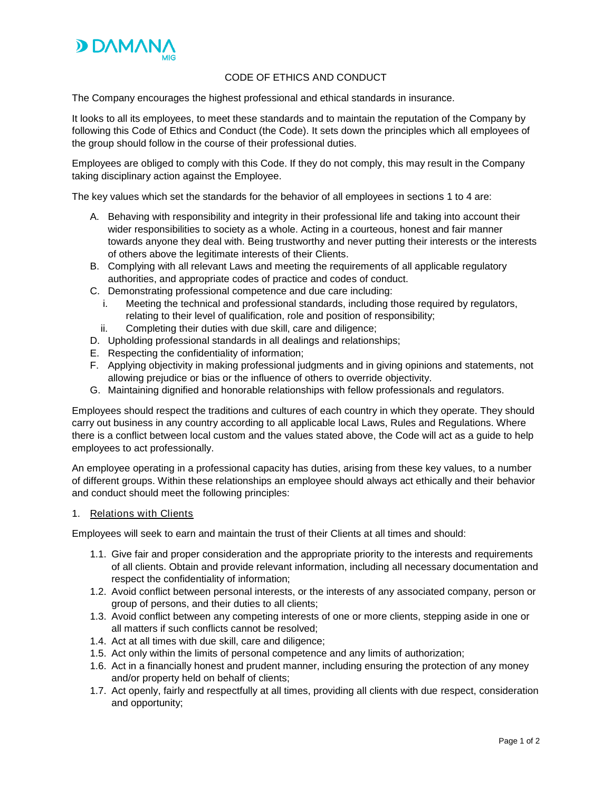

# CODE OF ETHICS AND CONDUCT

The Company encourages the highest professional and ethical standards in insurance.

It looks to all its employees, to meet these standards and to maintain the reputation of the Company by following this Code of Ethics and Conduct (the Code). It sets down the principles which all employees of the group should follow in the course of their professional duties.

Employees are obliged to comply with this Code. If they do not comply, this may result in the Company taking disciplinary action against the Employee.

The key values which set the standards for the behavior of all employees in sections 1 to 4 are:

- A. Behaving with responsibility and integrity in their professional life and taking into account their wider responsibilities to society as a whole. Acting in a courteous, honest and fair manner towards anyone they deal with. Being trustworthy and never putting their interests or the interests of others above the legitimate interests of their Clients.
- B. Complying with all relevant Laws and meeting the requirements of all applicable regulatory authorities, and appropriate codes of practice and codes of conduct.
- C. Demonstrating professional competence and due care including:
	- i. Meeting the technical and professional standards, including those required by regulators, relating to their level of qualification, role and position of responsibility;
	- ii. Completing their duties with due skill, care and diligence;
- D. Upholding professional standards in all dealings and relationships;
- E. Respecting the confidentiality of information;
- F. Applying objectivity in making professional judgments and in giving opinions and statements, not allowing prejudice or bias or the influence of others to override objectivity.
- G. Maintaining dignified and honorable relationships with fellow professionals and regulators.

Employees should respect the traditions and cultures of each country in which they operate. They should carry out business in any country according to all applicable local Laws, Rules and Regulations. Where there is a conflict between local custom and the values stated above, the Code will act as a guide to help employees to act professionally.

An employee operating in a professional capacity has duties, arising from these key values, to a number of different groups. Within these relationships an employee should always act ethically and their behavior and conduct should meet the following principles:

### 1. Relations with Clients

Employees will seek to earn and maintain the trust of their Clients at all times and should:

- 1.1. Give fair and proper consideration and the appropriate priority to the interests and requirements of all clients. Obtain and provide relevant information, including all necessary documentation and respect the confidentiality of information;
- 1.2. Avoid conflict between personal interests, or the interests of any associated company, person or group of persons, and their duties to all clients;
- 1.3. Avoid conflict between any competing interests of one or more clients, stepping aside in one or all matters if such conflicts cannot be resolved;
- 1.4. Act at all times with due skill, care and diligence;
- 1.5. Act only within the limits of personal competence and any limits of authorization;
- 1.6. Act in a financially honest and prudent manner, including ensuring the protection of any money and/or property held on behalf of clients;
- 1.7. Act openly, fairly and respectfully at all times, providing all clients with due respect, consideration and opportunity;